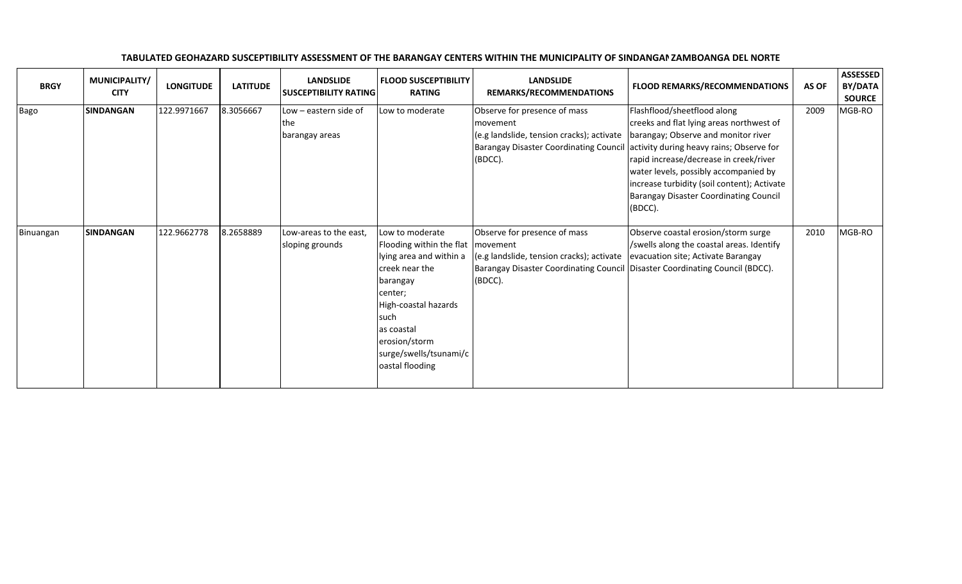| <b>BRGY</b> | MUNICIPALITY/<br><b>CITY</b> | <b>LONGITUDE</b> | <b>LATITUDE</b> | <b>LANDSLIDE</b><br><b>SUSCEPTIBILITY RATING</b> | <b>FLOOD SUSCEPTIBILITY</b><br><b>RATING</b>                                                                                                                                                                                | <b>LANDSLIDE</b><br>REMARKS/RECOMMENDATIONS                                                                                                                                      | <b>FLOOD REMARKS/RECOMMENDATIONS</b>                                                                                                                                                                                                                                                                                                                                                            | AS OF | <b>ASSESSED</b><br>BY/DATA<br><b>SOURCE</b> |
|-------------|------------------------------|------------------|-----------------|--------------------------------------------------|-----------------------------------------------------------------------------------------------------------------------------------------------------------------------------------------------------------------------------|----------------------------------------------------------------------------------------------------------------------------------------------------------------------------------|-------------------------------------------------------------------------------------------------------------------------------------------------------------------------------------------------------------------------------------------------------------------------------------------------------------------------------------------------------------------------------------------------|-------|---------------------------------------------|
| Bago        | <b>SINDANGAN</b>             | 122.9971667      | 8.3056667       | Low - eastern side of<br>lthe.<br>barangay areas | Low to moderate                                                                                                                                                                                                             | Observe for presence of mass<br>movement<br>(e.g landslide, tension cracks); activate<br>(BDCC).                                                                                 | Flashflood/sheetflood along<br>creeks and flat lying areas northwest of<br>barangay; Observe and monitor river<br>Barangay Disaster Coordinating Council activity during heavy rains; Observe for<br>rapid increase/decrease in creek/river<br>water levels, possibly accompanied by<br>increase turbidity (soil content); Activate<br><b>Barangay Disaster Coordinating Council</b><br>(BDCC). | 2009  | MGB-RO                                      |
| Binuangan   | <b>SINDANGAN</b>             | 122.9662778      | 8.2658889       | Low-areas to the east,<br>sloping grounds        | Low to moderate<br>Flooding within the flat<br>lying area and within a<br>creek near the<br>barangay<br>center;<br>High-coastal hazards<br>such<br>as coastal<br>erosion/storm<br>surge/swells/tsunami/c<br>oastal flooding | Observe for presence of mass<br>movement<br>(e.g landslide, tension cracks); activate<br>Barangay Disaster Coordinating Council Disaster Coordinating Council (BDCC).<br>(BDCC). | Observe coastal erosion/storm surge<br>/swells along the coastal areas. Identify<br>evacuation site; Activate Barangay                                                                                                                                                                                                                                                                          | 2010  | MGB-RO                                      |

## TABULATED GEOHAZARD SUSCEPTIBILITY ASSESSMENT OF THE BARANGAY CENTERS WITHIN THE MUNICIPALITY OF SINDANGAN ZAMBOANGA DEL NORTE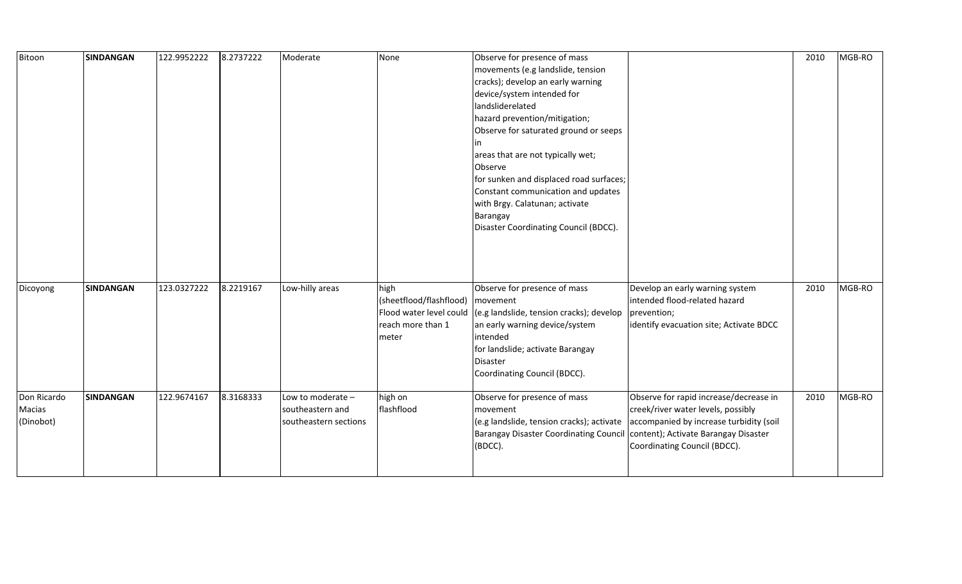| Bitoon                             | <b>SINDANGAN</b> | 122.9952222 | 8.2737222 | Moderate                                                       | None                                                                                     | Observe for presence of mass<br>movements (e.g landslide, tension<br>cracks); develop an early warning<br>device/system intended for<br>landsliderelated<br>hazard prevention/mitigation;<br>Observe for saturated ground or seeps<br>areas that are not typically wet;<br>Observe<br>for sunken and displaced road surfaces;<br>Constant communication and updates<br>with Brgy. Calatunan; activate<br>Barangay<br>Disaster Coordinating Council (BDCC). |                                                                                                                                                                                                 | 2010 | MGB-RO |
|------------------------------------|------------------|-------------|-----------|----------------------------------------------------------------|------------------------------------------------------------------------------------------|------------------------------------------------------------------------------------------------------------------------------------------------------------------------------------------------------------------------------------------------------------------------------------------------------------------------------------------------------------------------------------------------------------------------------------------------------------|-------------------------------------------------------------------------------------------------------------------------------------------------------------------------------------------------|------|--------|
| Dicoyong                           | <b>SINDANGAN</b> | 123.0327222 | 8.2219167 | Low-hilly areas                                                | high<br>(sheetflood/flashflood)<br>Flood water level could<br>reach more than 1<br>meter | Observe for presence of mass<br>movement<br>(e.g landslide, tension cracks); develop<br>an early warning device/system<br>intended<br>for landslide; activate Barangay<br>Disaster<br>Coordinating Council (BDCC).                                                                                                                                                                                                                                         | Develop an early warning system<br>intended flood-related hazard<br>prevention;<br>identify evacuation site; Activate BDCC                                                                      | 2010 | MGB-RO |
| Don Ricardo<br>Macias<br>(Dinobot) | <b>SINDANGAN</b> | 122.9674167 | 8.3168333 | Low to moderate -<br>southeastern and<br>southeastern sections | high on<br>flashflood                                                                    | Observe for presence of mass<br>movement<br>(e.g landslide, tension cracks); activate<br><b>Barangay Disaster Coordinating Council</b><br>(BDCC).                                                                                                                                                                                                                                                                                                          | Observe for rapid increase/decrease in<br>creek/river water levels, possibly<br>accompanied by increase turbidity (soil<br>content); Activate Barangay Disaster<br>Coordinating Council (BDCC). | 2010 | MGB-RO |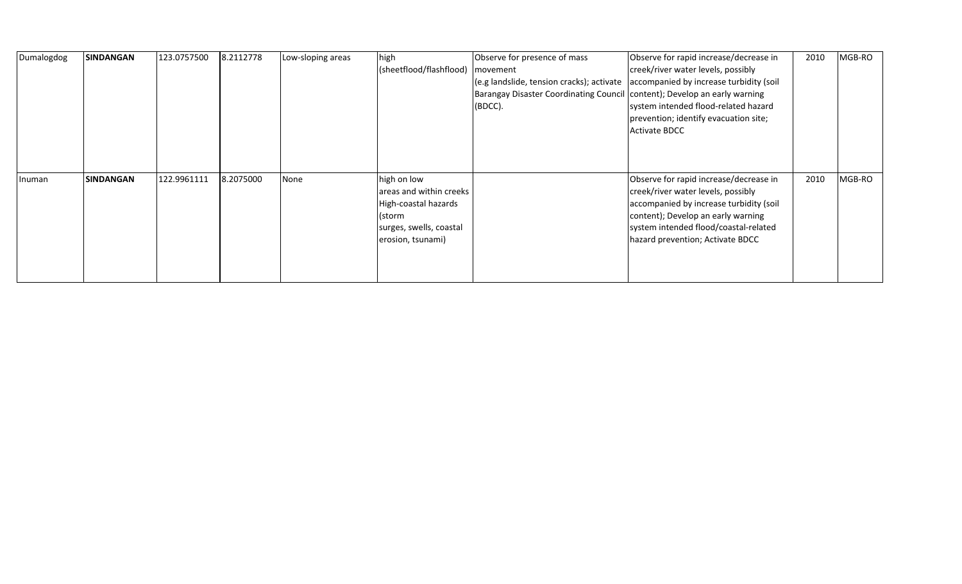| Dumalogdog | <b>SINDANGAN</b> | 123.0757500 | 8.2112778 | Low-sloping areas | high<br>(sheetflood/flashflood)                                                                                          | Observe for presence of mass<br>movement<br>(e.g landslide, tension cracks); activate<br>Barangay Disaster Coordinating Council content); Develop an early warning<br>(BDCC). | Observe for rapid increase/decrease in<br>creek/river water levels, possibly<br>accompanied by increase turbidity (soil<br>system intended flood-related hazard<br>prevention; identify evacuation site;<br>Activate BDCC                  | 2010 | MGB-RO |
|------------|------------------|-------------|-----------|-------------------|--------------------------------------------------------------------------------------------------------------------------|-------------------------------------------------------------------------------------------------------------------------------------------------------------------------------|--------------------------------------------------------------------------------------------------------------------------------------------------------------------------------------------------------------------------------------------|------|--------|
| Inuman     | <b>SINDANGAN</b> | 122.9961111 | 8.2075000 | None              | high on low<br>areas and within creeks<br>High-coastal hazards<br>(storm<br>surges, swells, coastal<br>erosion, tsunami) |                                                                                                                                                                               | Observe for rapid increase/decrease in<br>creek/river water levels, possibly<br>accompanied by increase turbidity (soil<br>content); Develop an early warning<br>system intended flood/coastal-related<br>hazard prevention; Activate BDCC | 2010 | MGB-RO |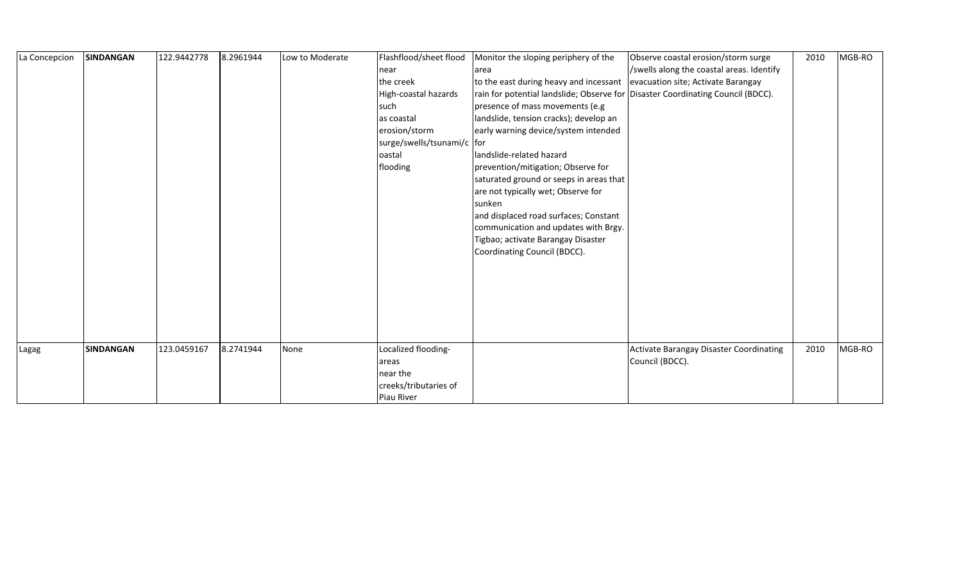| La Concepcion | <b>SINDANGAN</b> | 122.9442778 | 8.2961944 | Low to Moderate | Flashflood/sheet flood<br>near<br>the creek<br>High-coastal hazards<br>such<br>as coastal<br>erosion/storm<br>surge/swells/tsunami/c for<br>oastal<br>flooding | Monitor the sloping periphery of the<br>larea<br>to the east during heavy and incessant<br>rain for potential landslide; Observe for Disaster Coordinating Council (BDCC).<br>presence of mass movements (e.g<br>landslide, tension cracks); develop an<br>early warning device/system intended<br>landslide-related hazard<br>prevention/mitigation; Observe for<br>saturated ground or seeps in areas that<br>are not typically wet; Observe for<br>sunken<br>and displaced road surfaces; Constant<br>communication and updates with Brgy.<br>Tigbao; activate Barangay Disaster<br>Coordinating Council (BDCC). | Observe coastal erosion/storm surge<br>/swells along the coastal areas. Identify<br>evacuation site; Activate Barangay | 2010 | MGB-RO |
|---------------|------------------|-------------|-----------|-----------------|----------------------------------------------------------------------------------------------------------------------------------------------------------------|---------------------------------------------------------------------------------------------------------------------------------------------------------------------------------------------------------------------------------------------------------------------------------------------------------------------------------------------------------------------------------------------------------------------------------------------------------------------------------------------------------------------------------------------------------------------------------------------------------------------|------------------------------------------------------------------------------------------------------------------------|------|--------|
| Lagag         | <b>SINDANGAN</b> | 123.0459167 | 8.2741944 | None            | Localized flooding-<br>areas                                                                                                                                   |                                                                                                                                                                                                                                                                                                                                                                                                                                                                                                                                                                                                                     | Activate Barangay Disaster Coordinating<br>Council (BDCC).                                                             | 2010 | MGB-RO |
|               |                  |             |           |                 | near the<br>creeks/tributaries of<br>Piau River                                                                                                                |                                                                                                                                                                                                                                                                                                                                                                                                                                                                                                                                                                                                                     |                                                                                                                        |      |        |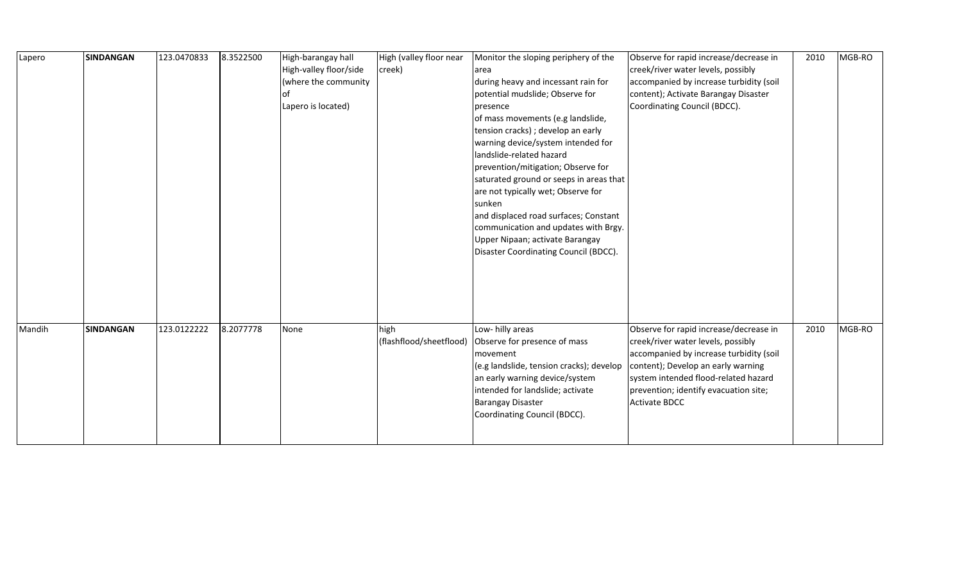| Lapero | <b>SINDANGAN</b> | 123.0470833 | 8.3522500 | High-barangay hall     | High (valley floor near | Monitor the sloping periphery of the     | Observe for rapid increase/decrease in  | 2010 | MGB-RO |
|--------|------------------|-------------|-----------|------------------------|-------------------------|------------------------------------------|-----------------------------------------|------|--------|
|        |                  |             |           | High-valley floor/side | creek)                  | area                                     | creek/river water levels, possibly      |      |        |
|        |                  |             |           | (where the community   |                         | during heavy and incessant rain for      | accompanied by increase turbidity (soil |      |        |
|        |                  |             |           | οt                     |                         | potential mudslide; Observe for          | content); Activate Barangay Disaster    |      |        |
|        |                  |             |           | Lapero is located)     |                         | presence                                 | Coordinating Council (BDCC).            |      |        |
|        |                  |             |           |                        |                         | of mass movements (e.g landslide,        |                                         |      |        |
|        |                  |             |           |                        |                         | tension cracks) ; develop an early       |                                         |      |        |
|        |                  |             |           |                        |                         | warning device/system intended for       |                                         |      |        |
|        |                  |             |           |                        |                         | landslide-related hazard                 |                                         |      |        |
|        |                  |             |           |                        |                         | prevention/mitigation; Observe for       |                                         |      |        |
|        |                  |             |           |                        |                         | saturated ground or seeps in areas that  |                                         |      |        |
|        |                  |             |           |                        |                         | are not typically wet; Observe for       |                                         |      |        |
|        |                  |             |           |                        |                         | sunken                                   |                                         |      |        |
|        |                  |             |           |                        |                         | and displaced road surfaces; Constant    |                                         |      |        |
|        |                  |             |           |                        |                         | communication and updates with Brgy.     |                                         |      |        |
|        |                  |             |           |                        |                         | Upper Nipaan; activate Barangay          |                                         |      |        |
|        |                  |             |           |                        |                         | Disaster Coordinating Council (BDCC).    |                                         |      |        |
|        |                  |             |           |                        |                         |                                          |                                         |      |        |
|        |                  |             |           |                        |                         |                                          |                                         |      |        |
|        |                  |             |           |                        |                         |                                          |                                         |      |        |
|        |                  |             |           |                        |                         |                                          |                                         |      |        |
|        |                  |             |           |                        |                         |                                          |                                         |      |        |
| Mandih | <b>SINDANGAN</b> | 123.0122222 | 8.2077778 | None                   | high                    | Low- hilly areas                         | Observe for rapid increase/decrease in  | 2010 | MGB-RO |
|        |                  |             |           |                        | (flashflood/sheetflood) | Observe for presence of mass             | creek/river water levels, possibly      |      |        |
|        |                  |             |           |                        |                         | movement                                 | accompanied by increase turbidity (soil |      |        |
|        |                  |             |           |                        |                         | (e.g landslide, tension cracks); develop | content); Develop an early warning      |      |        |
|        |                  |             |           |                        |                         | an early warning device/system           | system intended flood-related hazard    |      |        |
|        |                  |             |           |                        |                         | intended for landslide; activate         | prevention; identify evacuation site;   |      |        |
|        |                  |             |           |                        |                         | <b>Barangay Disaster</b>                 | <b>Activate BDCC</b>                    |      |        |
|        |                  |             |           |                        |                         | Coordinating Council (BDCC).             |                                         |      |        |
|        |                  |             |           |                        |                         |                                          |                                         |      |        |
|        |                  |             |           |                        |                         |                                          |                                         |      |        |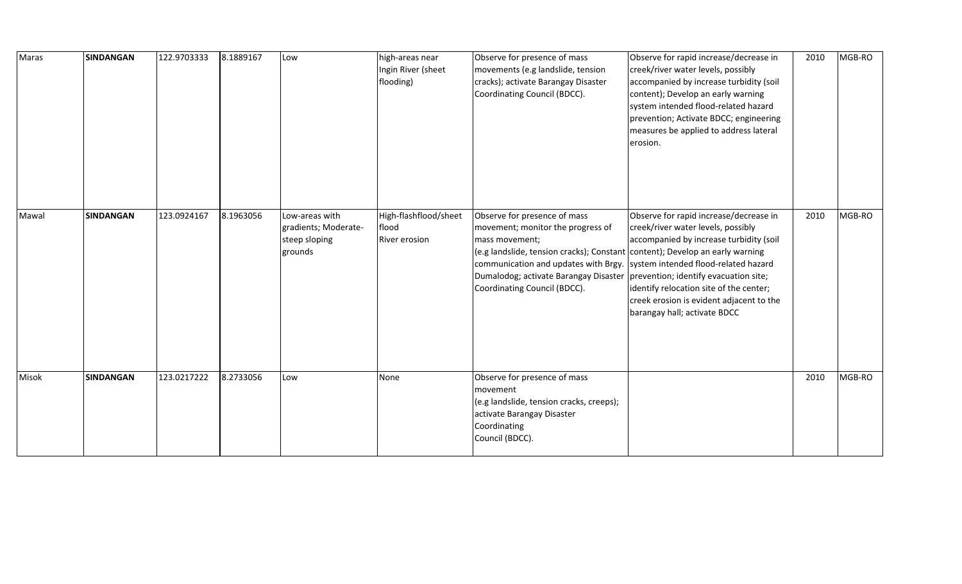| Maras | <b>SINDANGAN</b> | 122.9703333 | 8.1889167 | Low                                                                | high-areas near<br>Ingin River (sheet<br>flooding)     | Observe for presence of mass<br>movements (e.g landslide, tension<br>cracks); activate Barangay Disaster<br>Coordinating Council (BDCC).                                                                                                                                                                                                                                  | Observe for rapid increase/decrease in<br>creek/river water levels, possibly<br>accompanied by increase turbidity (soil<br>content); Develop an early warning<br>system intended flood-related hazard<br>prevention; Activate BDCC; engineering<br>measures be applied to address lateral<br>erosion. | 2010 | MGB-RO |
|-------|------------------|-------------|-----------|--------------------------------------------------------------------|--------------------------------------------------------|---------------------------------------------------------------------------------------------------------------------------------------------------------------------------------------------------------------------------------------------------------------------------------------------------------------------------------------------------------------------------|-------------------------------------------------------------------------------------------------------------------------------------------------------------------------------------------------------------------------------------------------------------------------------------------------------|------|--------|
| Mawal | <b>SINDANGAN</b> | 123.0924167 | 8.1963056 | Low-areas with<br>gradients; Moderate-<br>steep sloping<br>grounds | High-flashflood/sheet<br>flood<br><b>River erosion</b> | Observe for presence of mass<br>movement; monitor the progress of<br>mass movement;<br>$\vert$ (e.g landslide, tension cracks); Constant content); Develop an early warning<br>communication and updates with Brgy. System intended flood-related hazard<br>Dumalodog; activate Barangay Disaster   prevention; identify evacuation site;<br>Coordinating Council (BDCC). | Observe for rapid increase/decrease in<br>creek/river water levels, possibly<br>accompanied by increase turbidity (soil<br>identify relocation site of the center;<br>creek erosion is evident adjacent to the<br>barangay hall; activate BDCC                                                        | 2010 | MGB-RO |
| Misok | <b>SINDANGAN</b> | 123.0217222 | 8.2733056 | Low                                                                | None                                                   | Observe for presence of mass<br>movement<br>(e.g landslide, tension cracks, creeps);<br>activate Barangay Disaster<br>Coordinating<br>Council (BDCC).                                                                                                                                                                                                                     |                                                                                                                                                                                                                                                                                                       | 2010 | MGB-RO |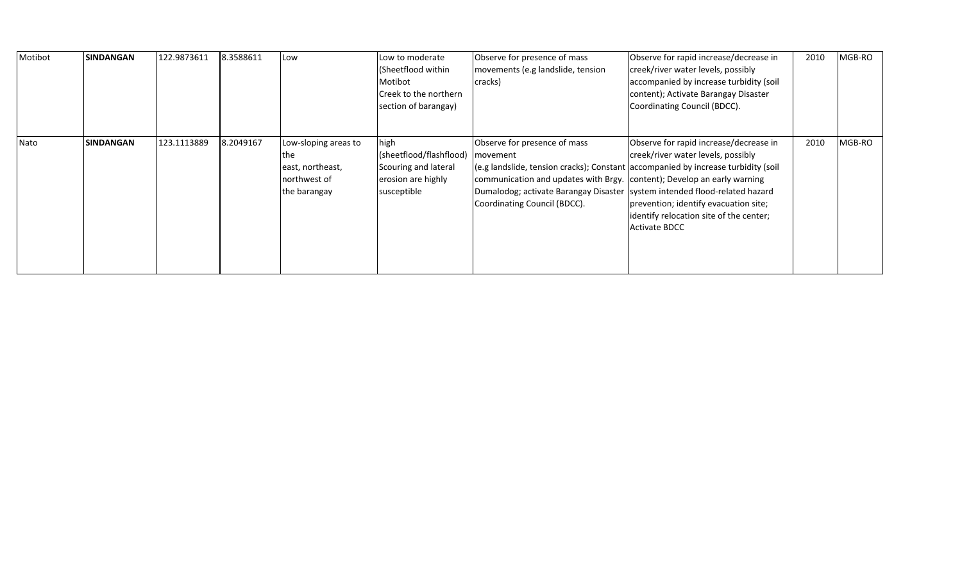| Motibot | <b>SINDANGAN</b> | 122.9873611 | 8.3588611 | Low                                                                             | Low to moderate<br>(Sheetflood within<br>Motibot<br>Creek to the northern<br>section of barangay) | Observe for presence of mass<br>movements (e.g landslide, tension<br>cracks)                                                                                                                                                        | Observe for rapid increase/decrease in<br>creek/river water levels, possibly<br>accompanied by increase turbidity (soil<br>content); Activate Barangay Disaster<br>Coordinating Council (BDCC).                                                                                  | 2010 | MGB-RO |
|---------|------------------|-------------|-----------|---------------------------------------------------------------------------------|---------------------------------------------------------------------------------------------------|-------------------------------------------------------------------------------------------------------------------------------------------------------------------------------------------------------------------------------------|----------------------------------------------------------------------------------------------------------------------------------------------------------------------------------------------------------------------------------------------------------------------------------|------|--------|
| Nato    | <b>SINDANGAN</b> | 123.1113889 | 8.2049167 | Low-sloping areas to<br>the<br>east, northeast,<br>northwest of<br>the barangay | high<br>(sheetflood/flashflood)<br>Scouring and lateral<br>erosion are highly<br>susceptible      | Observe for presence of mass<br>movement<br>communication and updates with Brgy. content); Develop an early warning<br>Dumalodog; activate Barangay Disaster   system intended flood-related hazard<br>Coordinating Council (BDCC). | Observe for rapid increase/decrease in<br>creek/river water levels, possibly<br>$(e.g.$ landslide, tension cracks); Constant accompanied by increase turbidity (soil<br>prevention; identify evacuation site;<br>identify relocation site of the center;<br><b>Activate BDCC</b> | 2010 | MGB-RO |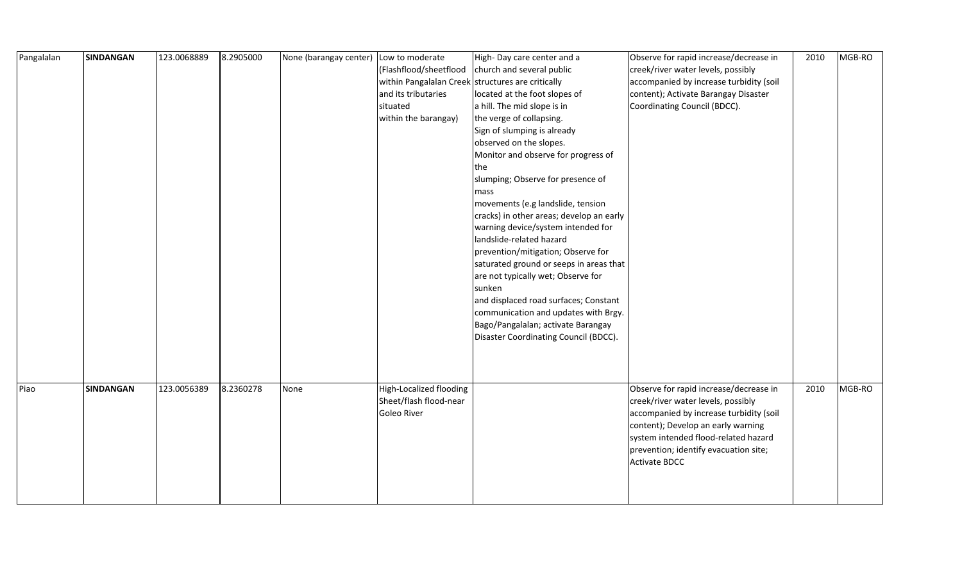| Pangalalan | <b>SINDANGAN</b> | 123.0068889 | 8.2905000 | None (barangay center) Low to moderate |                                                   | High-Day care center and a               | Observe for rapid increase/decrease in  | 2010 | MGB-RO |
|------------|------------------|-------------|-----------|----------------------------------------|---------------------------------------------------|------------------------------------------|-----------------------------------------|------|--------|
|            |                  |             |           |                                        | (Flashflood/sheetflood                            | church and several public                | creek/river water levels, possibly      |      |        |
|            |                  |             |           |                                        | within Pangalalan Creek structures are critically |                                          | accompanied by increase turbidity (soil |      |        |
|            |                  |             |           |                                        | and its tributaries                               | located at the foot slopes of            | content); Activate Barangay Disaster    |      |        |
|            |                  |             |           |                                        | situated                                          | a hill. The mid slope is in              | Coordinating Council (BDCC).            |      |        |
|            |                  |             |           |                                        | within the barangay)                              | the verge of collapsing.                 |                                         |      |        |
|            |                  |             |           |                                        |                                                   | Sign of slumping is already              |                                         |      |        |
|            |                  |             |           |                                        |                                                   | observed on the slopes.                  |                                         |      |        |
|            |                  |             |           |                                        |                                                   | Monitor and observe for progress of      |                                         |      |        |
|            |                  |             |           |                                        |                                                   | the                                      |                                         |      |        |
|            |                  |             |           |                                        |                                                   | slumping; Observe for presence of        |                                         |      |        |
|            |                  |             |           |                                        |                                                   | mass                                     |                                         |      |        |
|            |                  |             |           |                                        |                                                   | movements (e.g landslide, tension        |                                         |      |        |
|            |                  |             |           |                                        |                                                   | cracks) in other areas; develop an early |                                         |      |        |
|            |                  |             |           |                                        |                                                   | warning device/system intended for       |                                         |      |        |
|            |                  |             |           |                                        |                                                   | landslide-related hazard                 |                                         |      |        |
|            |                  |             |           |                                        |                                                   | prevention/mitigation; Observe for       |                                         |      |        |
|            |                  |             |           |                                        |                                                   | saturated ground or seeps in areas that  |                                         |      |        |
|            |                  |             |           |                                        |                                                   | are not typically wet; Observe for       |                                         |      |        |
|            |                  |             |           |                                        |                                                   | sunken                                   |                                         |      |        |
|            |                  |             |           |                                        |                                                   | and displaced road surfaces; Constant    |                                         |      |        |
|            |                  |             |           |                                        |                                                   | communication and updates with Brgy.     |                                         |      |        |
|            |                  |             |           |                                        |                                                   | Bago/Pangalalan; activate Barangay       |                                         |      |        |
|            |                  |             |           |                                        |                                                   | Disaster Coordinating Council (BDCC).    |                                         |      |        |
|            |                  |             |           |                                        |                                                   |                                          |                                         |      |        |
|            |                  |             |           |                                        |                                                   |                                          |                                         |      |        |
|            |                  |             |           |                                        |                                                   |                                          |                                         |      |        |
| Piao       | <b>SINDANGAN</b> | 123.0056389 | 8.2360278 | None                                   | High-Localized flooding                           |                                          | Observe for rapid increase/decrease in  | 2010 | MGB-RO |
|            |                  |             |           |                                        | Sheet/flash flood-near                            |                                          | creek/river water levels, possibly      |      |        |
|            |                  |             |           |                                        | Goleo River                                       |                                          | accompanied by increase turbidity (soil |      |        |
|            |                  |             |           |                                        |                                                   |                                          | content); Develop an early warning      |      |        |
|            |                  |             |           |                                        |                                                   |                                          | system intended flood-related hazard    |      |        |
|            |                  |             |           |                                        |                                                   |                                          | prevention; identify evacuation site;   |      |        |
|            |                  |             |           |                                        |                                                   |                                          | Activate BDCC                           |      |        |
|            |                  |             |           |                                        |                                                   |                                          |                                         |      |        |
|            |                  |             |           |                                        |                                                   |                                          |                                         |      |        |
|            |                  |             |           |                                        |                                                   |                                          |                                         |      |        |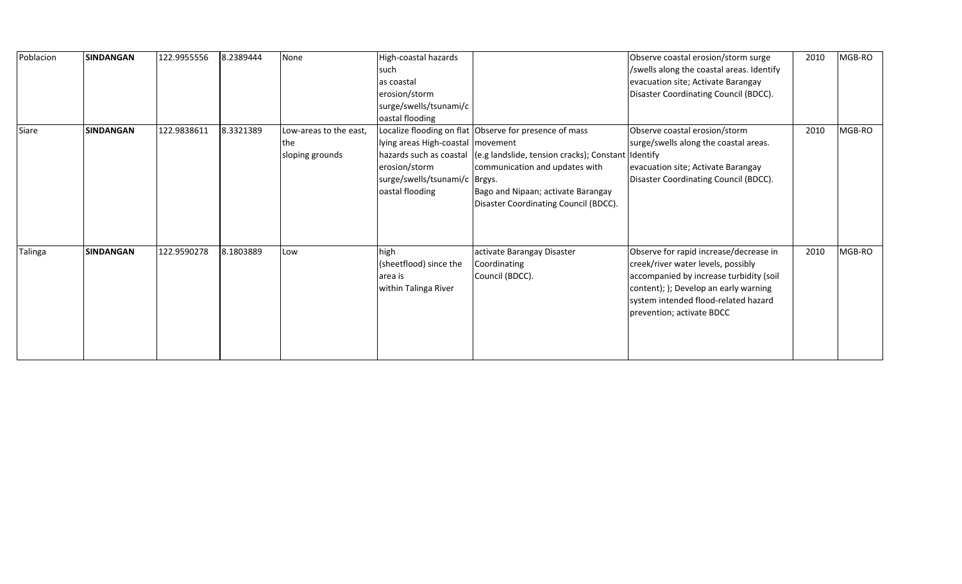| Poblacion | <b>SINDANGAN</b> | 122.9955556 | 8.2389444 | None                                             | High-coastal hazards<br>such<br>las coastal<br>erosion/storm<br>surge/swells/tsunami/c<br>oastal flooding  |                                                                                                                                                                                                                                                       | Observe coastal erosion/storm surge<br>/swells along the coastal areas. Identify<br>evacuation site; Activate Barangay<br>Disaster Coordinating Council (BDCC).                                                                       | 2010 | MGB-RO |
|-----------|------------------|-------------|-----------|--------------------------------------------------|------------------------------------------------------------------------------------------------------------|-------------------------------------------------------------------------------------------------------------------------------------------------------------------------------------------------------------------------------------------------------|---------------------------------------------------------------------------------------------------------------------------------------------------------------------------------------------------------------------------------------|------|--------|
| Siare     | <b>SINDANGAN</b> | 122.9838611 | 8.3321389 | Low-areas to the east,<br>the<br>sloping grounds | lying areas High-coastal   movement<br>erosion/storm<br>surge/swells/tsunami/c   Brgys.<br>oastal flooding | Localize flooding on flat Observe for presence of mass<br>hazards such as coastal (e.g landslide, tension cracks); Constant Identify<br>communication and updates with<br>Bago and Nipaan; activate Barangay<br>Disaster Coordinating Council (BDCC). | Observe coastal erosion/storm<br>surge/swells along the coastal areas.<br>evacuation site; Activate Barangay<br>Disaster Coordinating Council (BDCC).                                                                                 | 2010 | MGB-RO |
| Talinga   | <b>SINDANGAN</b> | 122.9590278 | 8.1803889 | Low                                              | high<br>(sheetflood) since the<br>area is<br>within Talinga River                                          | activate Barangay Disaster<br>Coordinating<br>Council (BDCC).                                                                                                                                                                                         | Observe for rapid increase/decrease in<br>creek/river water levels, possibly<br>accompanied by increase turbidity (soil<br>content); ); Develop an early warning<br>system intended flood-related hazard<br>prevention; activate BDCC | 2010 | MGB-RO |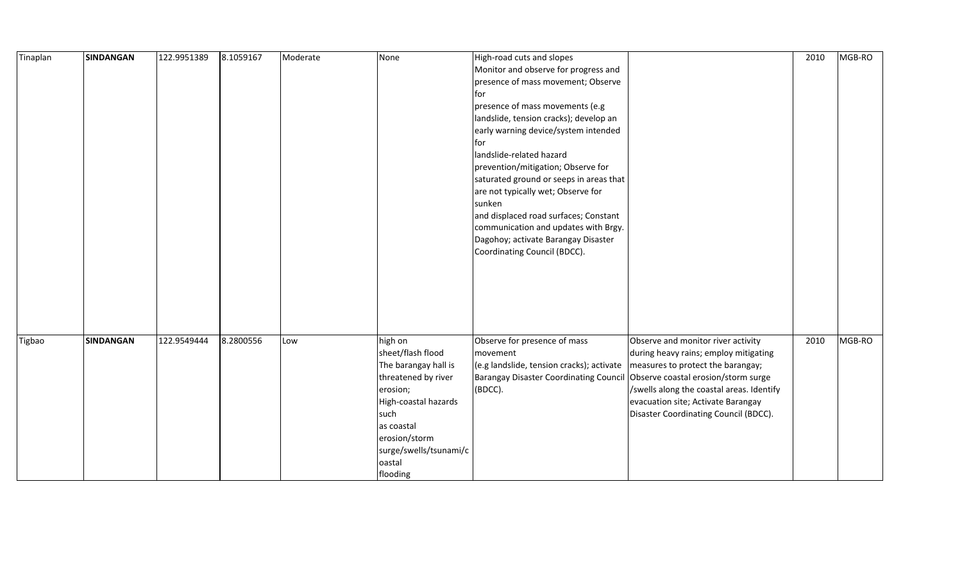| Tinaplan | <b>SINDANGAN</b> | 122.9951389 | 8.1059167 | Moderate | None                                                                                                                                                                                                   | High-road cuts and slopes                                                                                                                                                                                                                                                                                                                                                                                                                                     |                                                                                                                                                                                                                                              | 2010 | MGB-RO |
|----------|------------------|-------------|-----------|----------|--------------------------------------------------------------------------------------------------------------------------------------------------------------------------------------------------------|---------------------------------------------------------------------------------------------------------------------------------------------------------------------------------------------------------------------------------------------------------------------------------------------------------------------------------------------------------------------------------------------------------------------------------------------------------------|----------------------------------------------------------------------------------------------------------------------------------------------------------------------------------------------------------------------------------------------|------|--------|
|          |                  |             |           |          |                                                                                                                                                                                                        | Monitor and observe for progress and                                                                                                                                                                                                                                                                                                                                                                                                                          |                                                                                                                                                                                                                                              |      |        |
|          |                  |             |           |          |                                                                                                                                                                                                        | presence of mass movement; Observe                                                                                                                                                                                                                                                                                                                                                                                                                            |                                                                                                                                                                                                                                              |      |        |
|          |                  |             |           |          |                                                                                                                                                                                                        | for                                                                                                                                                                                                                                                                                                                                                                                                                                                           |                                                                                                                                                                                                                                              |      |        |
|          |                  |             |           |          |                                                                                                                                                                                                        | presence of mass movements (e.g                                                                                                                                                                                                                                                                                                                                                                                                                               |                                                                                                                                                                                                                                              |      |        |
|          |                  |             |           |          |                                                                                                                                                                                                        | landslide, tension cracks); develop an                                                                                                                                                                                                                                                                                                                                                                                                                        |                                                                                                                                                                                                                                              |      |        |
|          |                  |             |           |          |                                                                                                                                                                                                        | early warning device/system intended                                                                                                                                                                                                                                                                                                                                                                                                                          |                                                                                                                                                                                                                                              |      |        |
|          |                  |             |           |          |                                                                                                                                                                                                        | for                                                                                                                                                                                                                                                                                                                                                                                                                                                           |                                                                                                                                                                                                                                              |      |        |
|          |                  |             |           |          |                                                                                                                                                                                                        | landslide-related hazard                                                                                                                                                                                                                                                                                                                                                                                                                                      |                                                                                                                                                                                                                                              |      |        |
|          |                  |             |           |          |                                                                                                                                                                                                        |                                                                                                                                                                                                                                                                                                                                                                                                                                                               |                                                                                                                                                                                                                                              |      |        |
|          |                  |             |           |          |                                                                                                                                                                                                        |                                                                                                                                                                                                                                                                                                                                                                                                                                                               |                                                                                                                                                                                                                                              |      |        |
|          |                  |             |           |          |                                                                                                                                                                                                        |                                                                                                                                                                                                                                                                                                                                                                                                                                                               |                                                                                                                                                                                                                                              |      |        |
|          |                  |             |           |          |                                                                                                                                                                                                        | sunken                                                                                                                                                                                                                                                                                                                                                                                                                                                        |                                                                                                                                                                                                                                              |      |        |
|          |                  |             |           |          |                                                                                                                                                                                                        |                                                                                                                                                                                                                                                                                                                                                                                                                                                               |                                                                                                                                                                                                                                              |      |        |
|          |                  |             |           |          |                                                                                                                                                                                                        |                                                                                                                                                                                                                                                                                                                                                                                                                                                               |                                                                                                                                                                                                                                              |      |        |
|          |                  |             |           |          |                                                                                                                                                                                                        |                                                                                                                                                                                                                                                                                                                                                                                                                                                               |                                                                                                                                                                                                                                              |      |        |
|          |                  |             |           |          |                                                                                                                                                                                                        |                                                                                                                                                                                                                                                                                                                                                                                                                                                               |                                                                                                                                                                                                                                              |      |        |
|          |                  |             |           |          |                                                                                                                                                                                                        |                                                                                                                                                                                                                                                                                                                                                                                                                                                               |                                                                                                                                                                                                                                              |      |        |
|          |                  |             |           |          |                                                                                                                                                                                                        |                                                                                                                                                                                                                                                                                                                                                                                                                                                               |                                                                                                                                                                                                                                              |      |        |
|          |                  |             |           |          |                                                                                                                                                                                                        |                                                                                                                                                                                                                                                                                                                                                                                                                                                               |                                                                                                                                                                                                                                              |      |        |
|          |                  |             |           |          |                                                                                                                                                                                                        |                                                                                                                                                                                                                                                                                                                                                                                                                                                               |                                                                                                                                                                                                                                              |      |        |
|          |                  |             |           |          |                                                                                                                                                                                                        |                                                                                                                                                                                                                                                                                                                                                                                                                                                               |                                                                                                                                                                                                                                              |      |        |
|          |                  |             |           |          |                                                                                                                                                                                                        |                                                                                                                                                                                                                                                                                                                                                                                                                                                               |                                                                                                                                                                                                                                              |      |        |
|          |                  |             |           |          |                                                                                                                                                                                                        |                                                                                                                                                                                                                                                                                                                                                                                                                                                               |                                                                                                                                                                                                                                              |      |        |
|          |                  |             |           |          |                                                                                                                                                                                                        |                                                                                                                                                                                                                                                                                                                                                                                                                                                               |                                                                                                                                                                                                                                              |      |        |
|          |                  |             |           |          |                                                                                                                                                                                                        |                                                                                                                                                                                                                                                                                                                                                                                                                                                               |                                                                                                                                                                                                                                              |      |        |
|          |                  |             |           |          |                                                                                                                                                                                                        |                                                                                                                                                                                                                                                                                                                                                                                                                                                               |                                                                                                                                                                                                                                              |      |        |
|          |                  |             |           |          |                                                                                                                                                                                                        |                                                                                                                                                                                                                                                                                                                                                                                                                                                               |                                                                                                                                                                                                                                              |      |        |
|          |                  |             |           |          |                                                                                                                                                                                                        |                                                                                                                                                                                                                                                                                                                                                                                                                                                               |                                                                                                                                                                                                                                              |      |        |
|          |                  |             |           |          |                                                                                                                                                                                                        |                                                                                                                                                                                                                                                                                                                                                                                                                                                               |                                                                                                                                                                                                                                              |      |        |
|          |                  |             |           |          |                                                                                                                                                                                                        |                                                                                                                                                                                                                                                                                                                                                                                                                                                               |                                                                                                                                                                                                                                              |      |        |
|          |                  |             |           |          |                                                                                                                                                                                                        |                                                                                                                                                                                                                                                                                                                                                                                                                                                               |                                                                                                                                                                                                                                              |      |        |
|          |                  |             |           |          |                                                                                                                                                                                                        |                                                                                                                                                                                                                                                                                                                                                                                                                                                               |                                                                                                                                                                                                                                              |      |        |
|          |                  |             |           |          |                                                                                                                                                                                                        |                                                                                                                                                                                                                                                                                                                                                                                                                                                               |                                                                                                                                                                                                                                              |      |        |
|          |                  |             |           |          |                                                                                                                                                                                                        |                                                                                                                                                                                                                                                                                                                                                                                                                                                               |                                                                                                                                                                                                                                              |      |        |
| Tigbao   | <b>SINDANGAN</b> | 122.9549444 | 8.2800556 | Low      | high on<br>sheet/flash flood<br>The barangay hall is<br>threatened by river<br>erosion;<br>High-coastal hazards<br>such<br>as coastal<br>erosion/storm<br>surge/swells/tsunami/c<br>oastal<br>flooding | prevention/mitigation; Observe for<br>saturated ground or seeps in areas that<br>are not typically wet; Observe for<br>and displaced road surfaces; Constant<br>communication and updates with Brgy.<br>Dagohoy; activate Barangay Disaster<br>Coordinating Council (BDCC).<br>Observe for presence of mass<br>movement<br>(e.g landslide, tension cracks); activate<br>Barangay Disaster Coordinating Council Observe coastal erosion/storm surge<br>(BDCC). | Observe and monitor river activity<br>during heavy rains; employ mitigating<br>measures to protect the barangay;<br>/swells along the coastal areas. Identify<br>evacuation site; Activate Barangay<br>Disaster Coordinating Council (BDCC). | 2010 | MGB-RO |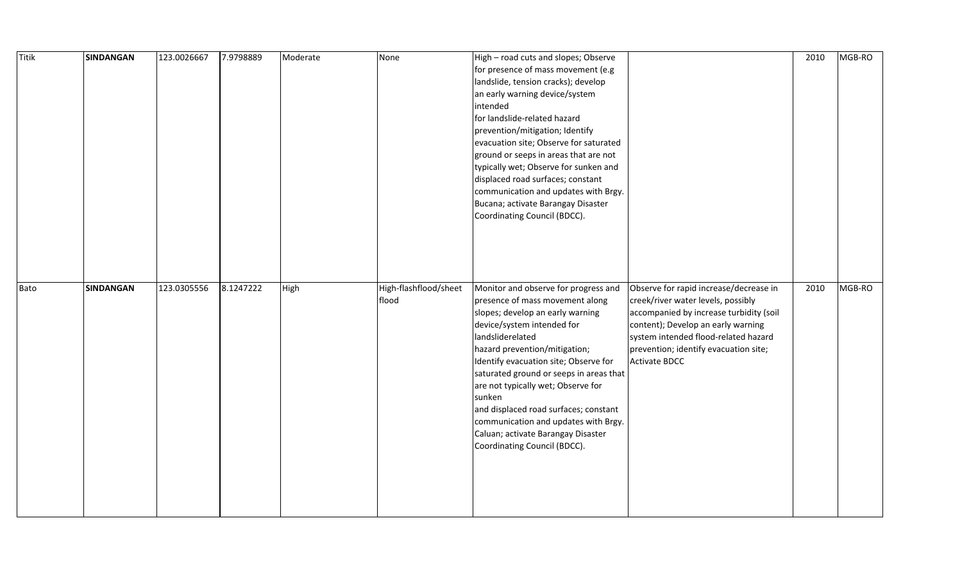| Titik | <b>SINDANGAN</b> | 123.0026667 | 7.9798889 | Moderate | None                           | High - road cuts and slopes; Observe<br>for presence of mass movement (e.g<br>landslide, tension cracks); develop<br>an early warning device/system<br>intended<br>for landslide-related hazard<br>prevention/mitigation; Identify<br>evacuation site; Observe for saturated<br>ground or seeps in areas that are not<br>typically wet; Observe for sunken and<br>displaced road surfaces; constant<br>communication and updates with Brgy.<br>Bucana; activate Barangay Disaster<br>Coordinating Council (BDCC). |                                                                                                                                                                                                                                                                 | 2010 | MGB-RO |
|-------|------------------|-------------|-----------|----------|--------------------------------|-------------------------------------------------------------------------------------------------------------------------------------------------------------------------------------------------------------------------------------------------------------------------------------------------------------------------------------------------------------------------------------------------------------------------------------------------------------------------------------------------------------------|-----------------------------------------------------------------------------------------------------------------------------------------------------------------------------------------------------------------------------------------------------------------|------|--------|
| Bato  | <b>SINDANGAN</b> | 123.0305556 | 8.1247222 | High     | High-flashflood/sheet<br>flood | Monitor and observe for progress and<br>presence of mass movement along<br>slopes; develop an early warning<br>device/system intended for<br>landsliderelated<br>hazard prevention/mitigation;<br>Identify evacuation site; Observe for<br>saturated ground or seeps in areas that<br>are not typically wet; Observe for<br>sunken<br>and displaced road surfaces; constant<br>communication and updates with Brgy.<br>Caluan; activate Barangay Disaster<br>Coordinating Council (BDCC).                         | Observe for rapid increase/decrease in<br>creek/river water levels, possibly<br>accompanied by increase turbidity (soil<br>content); Develop an early warning<br>system intended flood-related hazard<br>prevention; identify evacuation site;<br>Activate BDCC | 2010 | MGB-RO |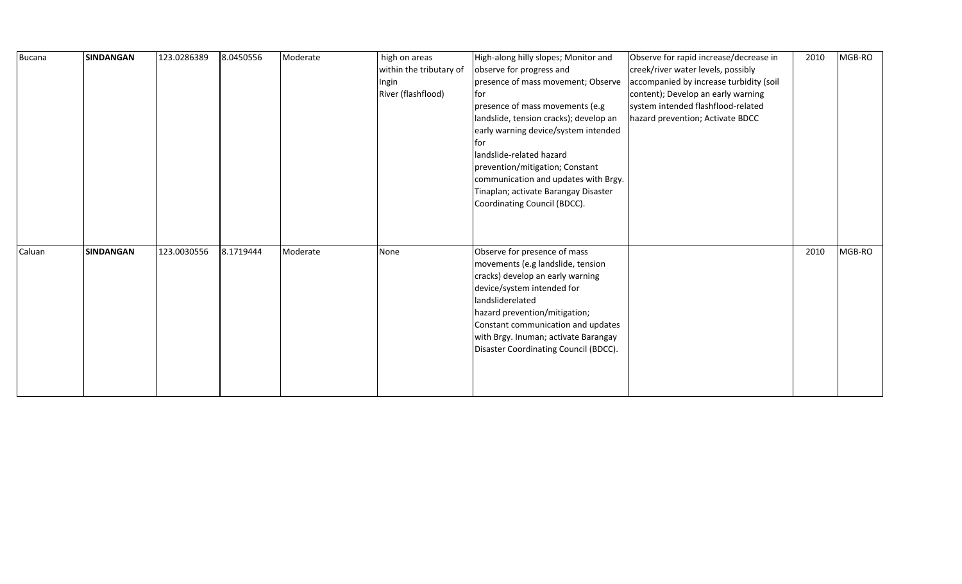| <b>Bucana</b> | <b>SINDANGAN</b> | 123.0286389 | 8.0450556 | Moderate | high on areas<br>within the tributary of<br>Ingin<br>River (flashflood) | High-along hilly slopes; Monitor and<br>observe for progress and<br>presence of mass movement; Observe<br>lfor<br>presence of mass movements (e.g<br>landslide, tension cracks); develop an<br>early warning device/system intended<br><b>for</b><br>landslide-related hazard<br>prevention/mitigation; Constant<br>communication and updates with Brgy.<br>Tinaplan; activate Barangay Disaster<br>Coordinating Council (BDCC). | Observe for rapid increase/decrease in<br>creek/river water levels, possibly<br>accompanied by increase turbidity (soil<br>content); Develop an early warning<br>system intended flashflood-related<br>hazard prevention; Activate BDCC | 2010 | MGB-RO |
|---------------|------------------|-------------|-----------|----------|-------------------------------------------------------------------------|----------------------------------------------------------------------------------------------------------------------------------------------------------------------------------------------------------------------------------------------------------------------------------------------------------------------------------------------------------------------------------------------------------------------------------|-----------------------------------------------------------------------------------------------------------------------------------------------------------------------------------------------------------------------------------------|------|--------|
| Caluan        | <b>SINDANGAN</b> | 123.0030556 | 8.1719444 | Moderate | None                                                                    | Observe for presence of mass<br>movements (e.g landslide, tension<br>cracks) develop an early warning<br>device/system intended for<br>landsliderelated<br>hazard prevention/mitigation;<br>Constant communication and updates<br>with Brgy. Inuman; activate Barangay<br>Disaster Coordinating Council (BDCC).                                                                                                                  |                                                                                                                                                                                                                                         | 2010 | MGB-RO |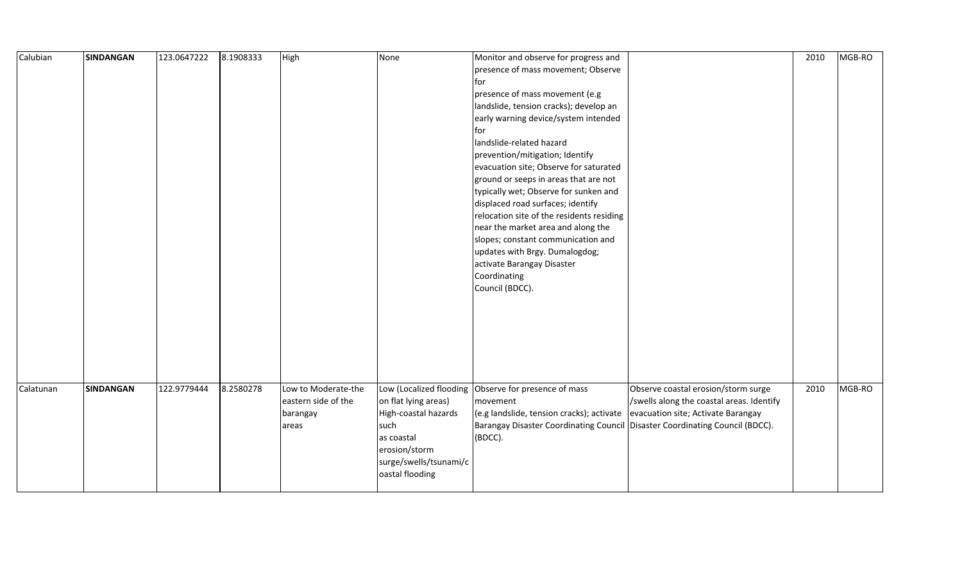| Calubian  | <b>SINDANGAN</b> | 123.0647222 | 8.1908333 | High                                                            | None                                                                                                                             | Monitor and observe for progress and<br>presence of mass movement; Observe<br>for<br>presence of mass movement (e.g<br>landslide, tension cracks); develop an<br>early warning device/system intended<br><b>I</b> for<br>landslide-related hazard<br>prevention/mitigation; Identify<br>evacuation site; Observe for saturated<br>ground or seeps in areas that are not<br>typically wet; Observe for sunken and<br>displaced road surfaces; identify<br>relocation site of the residents residing<br>near the market area and along the<br>slopes; constant communication and<br>updates with Brgy. Dumalogdog;<br>activate Barangay Disaster<br>Coordinating |                                                                                                                        | 2010 | MGB-RO |
|-----------|------------------|-------------|-----------|-----------------------------------------------------------------|----------------------------------------------------------------------------------------------------------------------------------|----------------------------------------------------------------------------------------------------------------------------------------------------------------------------------------------------------------------------------------------------------------------------------------------------------------------------------------------------------------------------------------------------------------------------------------------------------------------------------------------------------------------------------------------------------------------------------------------------------------------------------------------------------------|------------------------------------------------------------------------------------------------------------------------|------|--------|
| Calatunan | <b>SINDANGAN</b> | 122.9779444 | 8.2580278 | Low to Moderate-the<br>eastern side of the<br>barangay<br>areas | on flat lying areas)<br>High-coastal hazards<br>such<br>as coastal<br>erosion/storm<br>surge/swells/tsunami/c<br>oastal flooding | Low (Localized flooding Observe for presence of mass<br>movement<br>(e.g landslide, tension cracks); activate<br>Barangay Disaster Coordinating Council Disaster Coordinating Council (BDCC).<br>(BDCC).                                                                                                                                                                                                                                                                                                                                                                                                                                                       | Observe coastal erosion/storm surge<br>/swells along the coastal areas. Identify<br>evacuation site; Activate Barangay | 2010 | MGB-RO |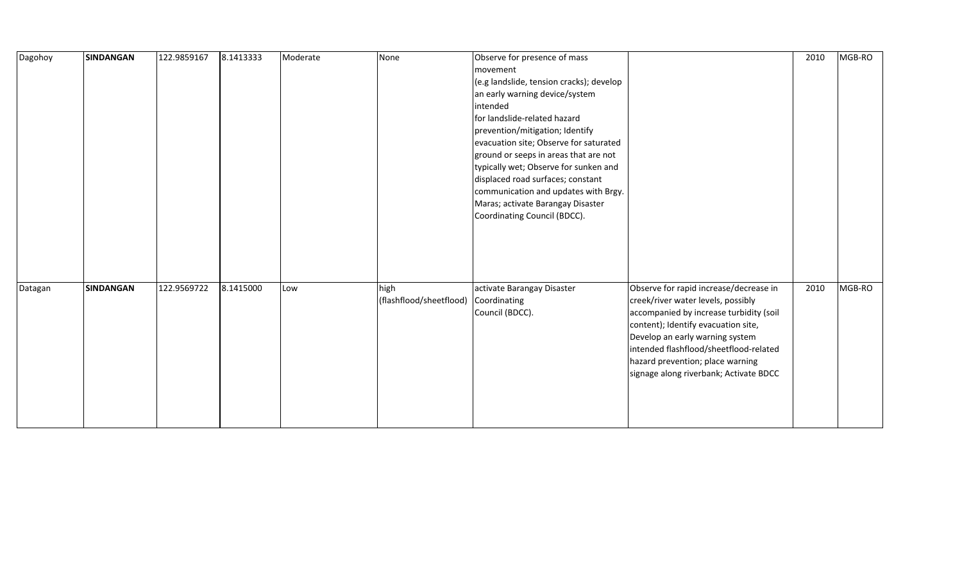| Dagohoy | <b>SINDANGAN</b> | 122.9859167 | 8.1413333 | Moderate | None                    | Observe for presence of mass             |                                         | 2010 | MGB-RO |
|---------|------------------|-------------|-----------|----------|-------------------------|------------------------------------------|-----------------------------------------|------|--------|
|         |                  |             |           |          |                         | movement                                 |                                         |      |        |
|         |                  |             |           |          |                         | (e.g landslide, tension cracks); develop |                                         |      |        |
|         |                  |             |           |          |                         | an early warning device/system           |                                         |      |        |
|         |                  |             |           |          |                         | intended                                 |                                         |      |        |
|         |                  |             |           |          |                         | for landslide-related hazard             |                                         |      |        |
|         |                  |             |           |          |                         | prevention/mitigation; Identify          |                                         |      |        |
|         |                  |             |           |          |                         | evacuation site; Observe for saturated   |                                         |      |        |
|         |                  |             |           |          |                         | ground or seeps in areas that are not    |                                         |      |        |
|         |                  |             |           |          |                         | typically wet; Observe for sunken and    |                                         |      |        |
|         |                  |             |           |          |                         | displaced road surfaces; constant        |                                         |      |        |
|         |                  |             |           |          |                         | communication and updates with Brgy.     |                                         |      |        |
|         |                  |             |           |          |                         | Maras; activate Barangay Disaster        |                                         |      |        |
|         |                  |             |           |          |                         | Coordinating Council (BDCC).             |                                         |      |        |
|         |                  |             |           |          |                         |                                          |                                         |      |        |
|         |                  |             |           |          |                         |                                          |                                         |      |        |
|         |                  |             |           |          |                         |                                          |                                         |      |        |
|         |                  |             |           |          |                         |                                          |                                         |      |        |
|         |                  |             |           |          |                         |                                          |                                         |      |        |
| Datagan | <b>SINDANGAN</b> | 122.9569722 | 8.1415000 | Low      | high                    | activate Barangay Disaster               | Observe for rapid increase/decrease in  | 2010 | MGB-RO |
|         |                  |             |           |          | (flashflood/sheetflood) | Coordinating                             | creek/river water levels, possibly      |      |        |
|         |                  |             |           |          |                         | Council (BDCC).                          | accompanied by increase turbidity (soil |      |        |
|         |                  |             |           |          |                         |                                          | content); Identify evacuation site,     |      |        |
|         |                  |             |           |          |                         |                                          | Develop an early warning system         |      |        |
|         |                  |             |           |          |                         |                                          | intended flashflood/sheetflood-related  |      |        |
|         |                  |             |           |          |                         |                                          | hazard prevention; place warning        |      |        |
|         |                  |             |           |          |                         |                                          | signage along riverbank; Activate BDCC  |      |        |
|         |                  |             |           |          |                         |                                          |                                         |      |        |
|         |                  |             |           |          |                         |                                          |                                         |      |        |
|         |                  |             |           |          |                         |                                          |                                         |      |        |
|         |                  |             |           |          |                         |                                          |                                         |      |        |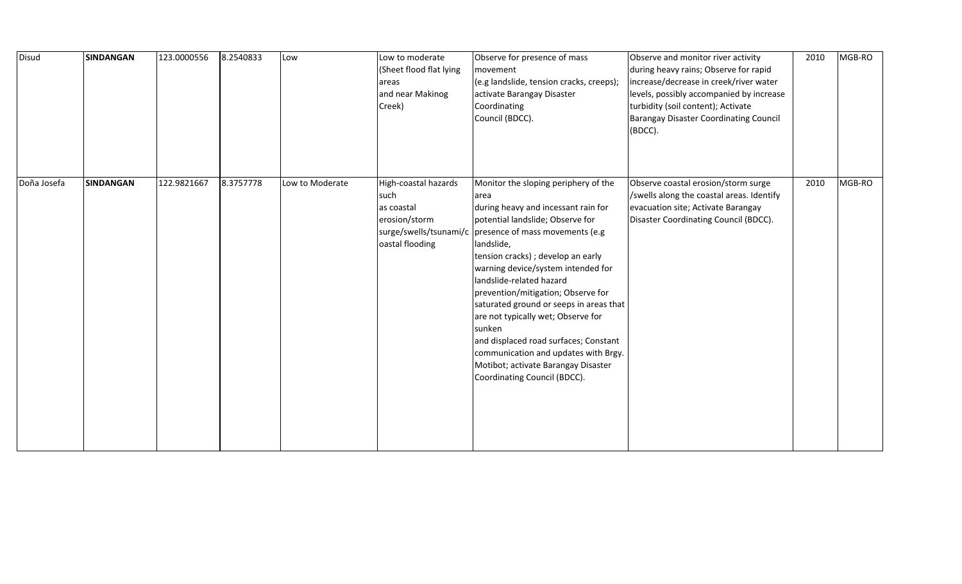| Disud       | <b>SINDANGAN</b> | 123.0000556 | 8.2540833 | Low             | Low to moderate<br>(Sheet flood flat lying<br>areas<br>and near Makinog<br>Creek) | Observe for presence of mass<br>movement<br>(e.g landslide, tension cracks, creeps);<br>activate Barangay Disaster<br>Coordinating<br>Council (BDCC).                                                                                                                                                                                                                                                                                                                                                                                                                                              | Observe and monitor river activity<br>during heavy rains; Observe for rapid<br>increase/decrease in creek/river water<br>levels, possibly accompanied by increase<br>turbidity (soil content); Activate<br><b>Barangay Disaster Coordinating Council</b><br>(BDCC). | 2010 | MGB-RO |
|-------------|------------------|-------------|-----------|-----------------|-----------------------------------------------------------------------------------|----------------------------------------------------------------------------------------------------------------------------------------------------------------------------------------------------------------------------------------------------------------------------------------------------------------------------------------------------------------------------------------------------------------------------------------------------------------------------------------------------------------------------------------------------------------------------------------------------|---------------------------------------------------------------------------------------------------------------------------------------------------------------------------------------------------------------------------------------------------------------------|------|--------|
| Doña Josefa | SINDANGAN        | 122.9821667 | 8.3757778 | Low to Moderate | High-coastal hazards<br>such<br>las coastal<br>erosion/storm<br>oastal flooding   | Monitor the sloping periphery of the<br>area<br>during heavy and incessant rain for<br>potential landslide; Observe for<br>surge/swells/tsunami/c   presence of mass movements (e.g<br>landslide,<br>tension cracks) ; develop an early<br>warning device/system intended for<br>landslide-related hazard<br>prevention/mitigation; Observe for<br>saturated ground or seeps in areas that<br>are not typically wet; Observe for<br>sunken<br>and displaced road surfaces; Constant<br>communication and updates with Brgy.<br>Motibot; activate Barangay Disaster<br>Coordinating Council (BDCC). | Observe coastal erosion/storm surge<br>/swells along the coastal areas. Identify<br>evacuation site; Activate Barangay<br>Disaster Coordinating Council (BDCC).                                                                                                     | 2010 | MGB-RO |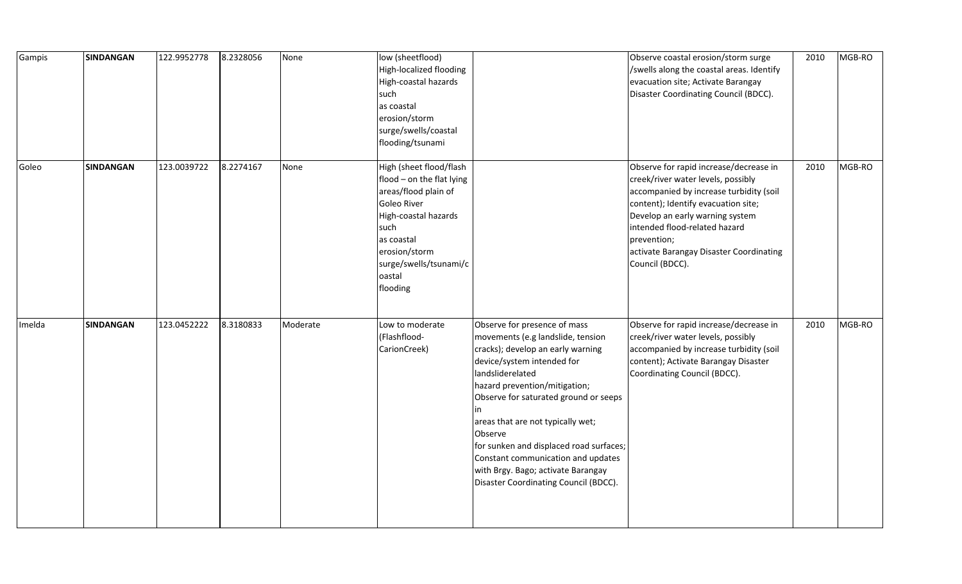| Gampis | <b>SINDANGAN</b> | 122.9952778 | 8.2328056 | None     | low (sheetflood)<br>High-localized flooding<br>High-coastal hazards<br>such<br>as coastal<br>erosion/storm<br>surge/swells/coastal<br>flooding/tsunami                                                     |                                                                                                                                                                                                                                                                                                                                                                                                                                                          | Observe coastal erosion/storm surge<br>/swells along the coastal areas. Identify<br>evacuation site; Activate Barangay<br>Disaster Coordinating Council (BDCC).                                                                                                                                                 | 2010 | MGB-RO |
|--------|------------------|-------------|-----------|----------|------------------------------------------------------------------------------------------------------------------------------------------------------------------------------------------------------------|----------------------------------------------------------------------------------------------------------------------------------------------------------------------------------------------------------------------------------------------------------------------------------------------------------------------------------------------------------------------------------------------------------------------------------------------------------|-----------------------------------------------------------------------------------------------------------------------------------------------------------------------------------------------------------------------------------------------------------------------------------------------------------------|------|--------|
| Goleo  | SINDANGAN        | 123.0039722 | 8.2274167 | None     | High (sheet flood/flash<br>flood - on the flat lying<br>areas/flood plain of<br>Goleo River<br>High-coastal hazards<br>such<br>as coastal<br>erosion/storm<br>surge/swells/tsunami/c<br>oastal<br>flooding |                                                                                                                                                                                                                                                                                                                                                                                                                                                          | Observe for rapid increase/decrease in<br>creek/river water levels, possibly<br>accompanied by increase turbidity (soil<br>content); Identify evacuation site;<br>Develop an early warning system<br>intended flood-related hazard<br>prevention;<br>activate Barangay Disaster Coordinating<br>Council (BDCC). | 2010 | MGB-RO |
| Imelda | <b>SINDANGAN</b> | 123.0452222 | 8.3180833 | Moderate | Low to moderate<br>(Flashflood-<br>CarionCreek)                                                                                                                                                            | Observe for presence of mass<br>movements (e.g landslide, tension<br>cracks); develop an early warning<br>device/system intended for<br>landsliderelated<br>hazard prevention/mitigation;<br>Observe for saturated ground or seeps<br>in<br>areas that are not typically wet;<br>Observe<br>for sunken and displaced road surfaces;<br>Constant communication and updates<br>with Brgy. Bago; activate Barangay<br>Disaster Coordinating Council (BDCC). | Observe for rapid increase/decrease in<br>creek/river water levels, possibly<br>accompanied by increase turbidity (soil<br>content); Activate Barangay Disaster<br>Coordinating Council (BDCC).                                                                                                                 | 2010 | MGB-RO |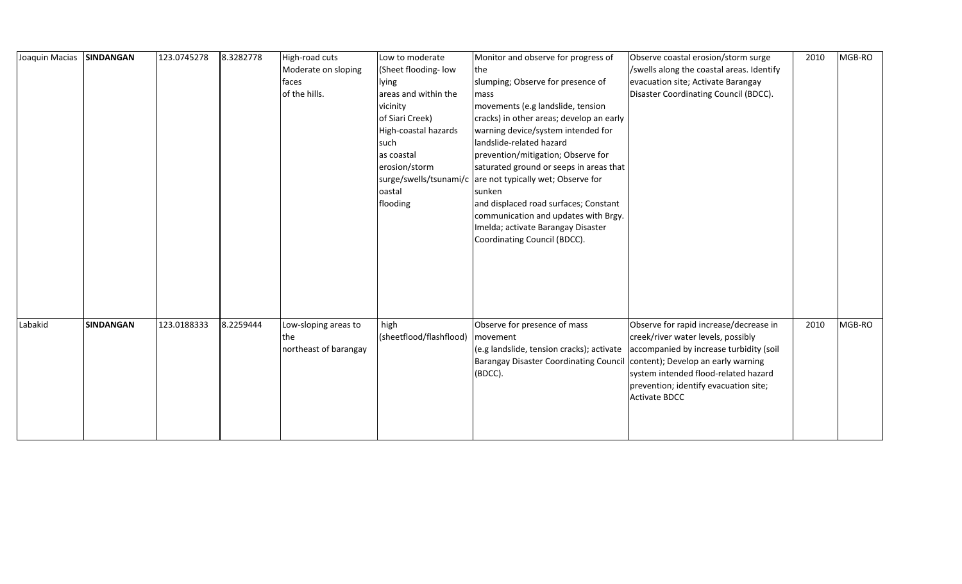| Joaquin Macias | <b>SINDANGAN</b> | 123.0745278 | 8.3282778 | High-road cuts        | Low to moderate         | Monitor and observe for progress of                                       | Observe coastal erosion/storm surge       | 2010 | MGB-RO |
|----------------|------------------|-------------|-----------|-----------------------|-------------------------|---------------------------------------------------------------------------|-------------------------------------------|------|--------|
|                |                  |             |           | Moderate on sloping   | (Sheet flooding-low     | <b>the</b>                                                                | /swells along the coastal areas. Identify |      |        |
|                |                  |             |           | faces                 | lying                   | slumping; Observe for presence of                                         | evacuation site; Activate Barangay        |      |        |
|                |                  |             |           | of the hills.         | areas and within the    | mass                                                                      | Disaster Coordinating Council (BDCC).     |      |        |
|                |                  |             |           |                       | vicinity                | movements (e.g landslide, tension                                         |                                           |      |        |
|                |                  |             |           |                       | of Siari Creek)         | cracks) in other areas; develop an early                                  |                                           |      |        |
|                |                  |             |           |                       | High-coastal hazards    | warning device/system intended for                                        |                                           |      |        |
|                |                  |             |           |                       | such                    | landslide-related hazard                                                  |                                           |      |        |
|                |                  |             |           |                       | as coastal              | prevention/mitigation; Observe for                                        |                                           |      |        |
|                |                  |             |           |                       | erosion/storm           | saturated ground or seeps in areas that                                   |                                           |      |        |
|                |                  |             |           |                       |                         | surge/swells/tsunami/c are not typically wet; Observe for                 |                                           |      |        |
|                |                  |             |           |                       | oastal                  | sunken                                                                    |                                           |      |        |
|                |                  |             |           |                       | flooding                | and displaced road surfaces; Constant                                     |                                           |      |        |
|                |                  |             |           |                       |                         | communication and updates with Brgy.                                      |                                           |      |        |
|                |                  |             |           |                       |                         | Imelda; activate Barangay Disaster                                        |                                           |      |        |
|                |                  |             |           |                       |                         | Coordinating Council (BDCC).                                              |                                           |      |        |
|                |                  |             |           |                       |                         |                                                                           |                                           |      |        |
|                |                  |             |           |                       |                         |                                                                           |                                           |      |        |
|                |                  |             |           |                       |                         |                                                                           |                                           |      |        |
|                |                  |             |           |                       |                         |                                                                           |                                           |      |        |
|                |                  |             |           |                       |                         |                                                                           |                                           |      |        |
|                |                  |             |           |                       |                         |                                                                           |                                           |      |        |
| Labakid        | <b>SINDANGAN</b> | 123.0188333 | 8.2259444 | Low-sloping areas to  | high                    | Observe for presence of mass                                              | Observe for rapid increase/decrease in    | 2010 | MGB-RO |
|                |                  |             |           | the                   | (sheetflood/flashflood) | movement                                                                  | creek/river water levels, possibly        |      |        |
|                |                  |             |           | northeast of barangay |                         | (e.g landslide, tension cracks); activate                                 | accompanied by increase turbidity (soil   |      |        |
|                |                  |             |           |                       |                         | Barangay Disaster Coordinating Council content); Develop an early warning |                                           |      |        |
|                |                  |             |           |                       |                         | (BDCC).                                                                   | system intended flood-related hazard      |      |        |
|                |                  |             |           |                       |                         |                                                                           | prevention; identify evacuation site;     |      |        |
|                |                  |             |           |                       |                         |                                                                           | <b>Activate BDCC</b>                      |      |        |
|                |                  |             |           |                       |                         |                                                                           |                                           |      |        |
|                |                  |             |           |                       |                         |                                                                           |                                           |      |        |
|                |                  |             |           |                       |                         |                                                                           |                                           |      |        |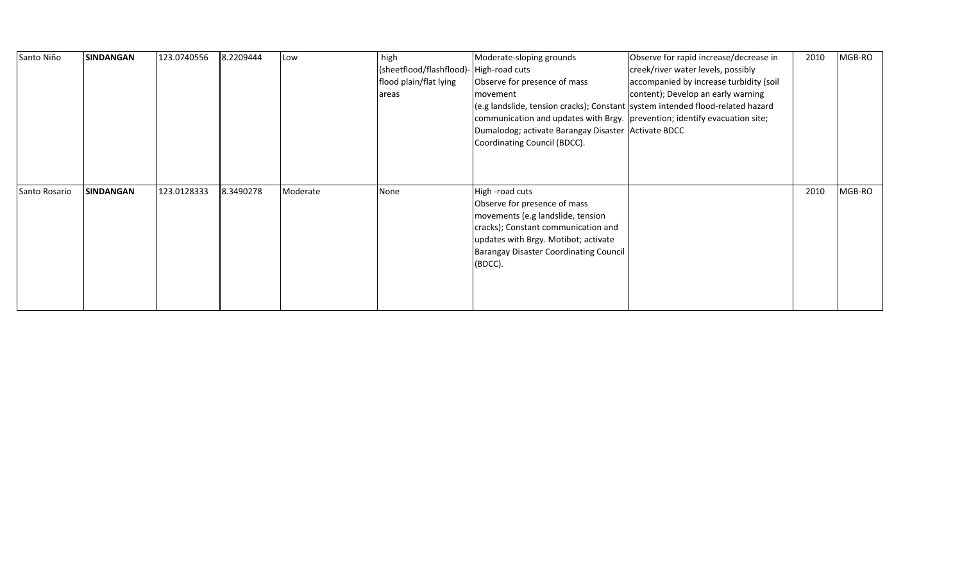| Santo Niño    | <b>SINDANGAN</b> | 123.0740556 | 8.2209444 | Low      | high<br>(sheetflood/flashflood)- High-road cuts<br>flood plain/flat lying<br>areas | Moderate-sloping grounds<br>Observe for presence of mass<br>movement<br>(e.g landslide, tension cracks); Constant system intended flood-related hazard<br>communication and updates with Brgy.   prevention; identify evacuation site;<br>Dumalodog; activate Barangay Disaster Activate BDCC<br>Coordinating Council (BDCC). | Observe for rapid increase/decrease in<br>creek/river water levels, possibly<br>accompanied by increase turbidity (soil<br>content); Develop an early warning | 2010 | MGB-RO |
|---------------|------------------|-------------|-----------|----------|------------------------------------------------------------------------------------|-------------------------------------------------------------------------------------------------------------------------------------------------------------------------------------------------------------------------------------------------------------------------------------------------------------------------------|---------------------------------------------------------------------------------------------------------------------------------------------------------------|------|--------|
| Santo Rosario | <b>SINDANGAN</b> | 123.0128333 | 8.3490278 | Moderate | None                                                                               | High -road cuts<br>Observe for presence of mass<br>movements (e.g landslide, tension<br>cracks); Constant communication and<br>updates with Brgy. Motibot; activate<br><b>Barangay Disaster Coordinating Council</b><br>(BDCC).                                                                                               |                                                                                                                                                               | 2010 | MGB-RO |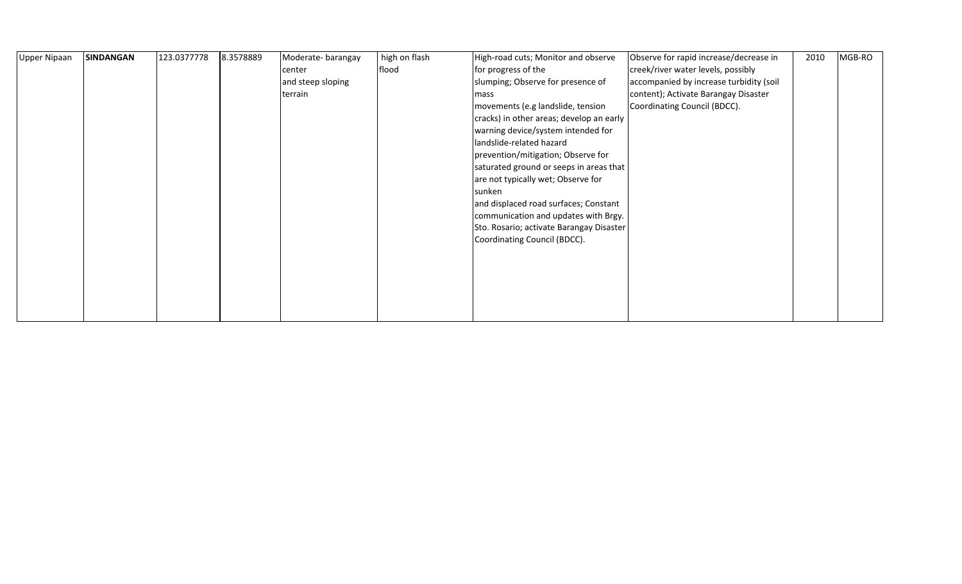| <b>Upper Nipaan</b> | <b>SINDANGAN</b> | 123.0377778 | 8.3578889 | Moderate-barangay<br>center<br>and steep sloping<br>terrain | high on flash<br>flood | High-road cuts; Monitor and observe<br>for progress of the<br>slumping; Observe for presence of<br>mass<br>movements (e.g landslide, tension<br>cracks) in other areas; develop an early<br>warning device/system intended for<br>landslide-related hazard<br>prevention/mitigation; Observe for<br>saturated ground or seeps in areas that<br>are not typically wet; Observe for | Observe for rapid increase/decrease in<br>creek/river water levels, possibly<br>accompanied by increase turbidity (soil<br>content); Activate Barangay Disaster<br>Coordinating Council (BDCC). | 2010 | MGB-RO |
|---------------------|------------------|-------------|-----------|-------------------------------------------------------------|------------------------|-----------------------------------------------------------------------------------------------------------------------------------------------------------------------------------------------------------------------------------------------------------------------------------------------------------------------------------------------------------------------------------|-------------------------------------------------------------------------------------------------------------------------------------------------------------------------------------------------|------|--------|
|                     |                  |             |           |                                                             |                        | sunken<br>and displaced road surfaces; Constant<br>communication and updates with Brgy.<br>Sto. Rosario; activate Barangay Disaster<br>Coordinating Council (BDCC).                                                                                                                                                                                                               |                                                                                                                                                                                                 |      |        |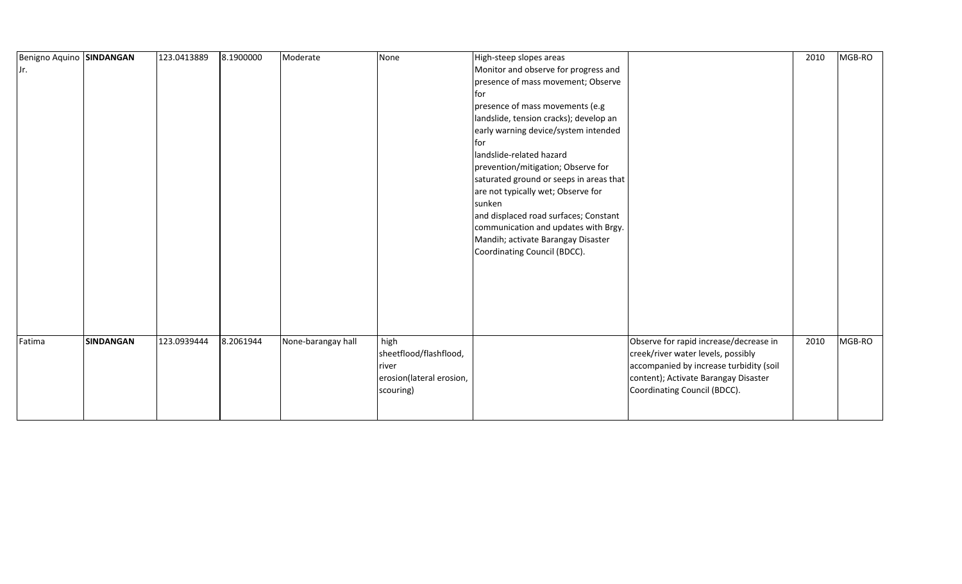| Benigno Aquino SINDANGAN |                  | 123.0413889 | 8.1900000 | Moderate           | None                     | High-steep slopes areas                 |                                         | 2010 | MGB-RO |
|--------------------------|------------------|-------------|-----------|--------------------|--------------------------|-----------------------------------------|-----------------------------------------|------|--------|
| Jr.                      |                  |             |           |                    |                          | Monitor and observe for progress and    |                                         |      |        |
|                          |                  |             |           |                    |                          | presence of mass movement; Observe      |                                         |      |        |
|                          |                  |             |           |                    |                          | for                                     |                                         |      |        |
|                          |                  |             |           |                    |                          | presence of mass movements (e.g         |                                         |      |        |
|                          |                  |             |           |                    |                          | landslide, tension cracks); develop an  |                                         |      |        |
|                          |                  |             |           |                    |                          | early warning device/system intended    |                                         |      |        |
|                          |                  |             |           |                    |                          | lfor                                    |                                         |      |        |
|                          |                  |             |           |                    |                          | landslide-related hazard                |                                         |      |        |
|                          |                  |             |           |                    |                          | prevention/mitigation; Observe for      |                                         |      |        |
|                          |                  |             |           |                    |                          | saturated ground or seeps in areas that |                                         |      |        |
|                          |                  |             |           |                    |                          | are not typically wet; Observe for      |                                         |      |        |
|                          |                  |             |           |                    |                          | sunken                                  |                                         |      |        |
|                          |                  |             |           |                    |                          | and displaced road surfaces; Constant   |                                         |      |        |
|                          |                  |             |           |                    |                          | communication and updates with Brgy.    |                                         |      |        |
|                          |                  |             |           |                    |                          | Mandih; activate Barangay Disaster      |                                         |      |        |
|                          |                  |             |           |                    |                          | Coordinating Council (BDCC).            |                                         |      |        |
|                          |                  |             |           |                    |                          |                                         |                                         |      |        |
|                          |                  |             |           |                    |                          |                                         |                                         |      |        |
|                          |                  |             |           |                    |                          |                                         |                                         |      |        |
|                          |                  |             |           |                    |                          |                                         |                                         |      |        |
|                          |                  |             |           |                    |                          |                                         |                                         |      |        |
|                          |                  |             |           |                    |                          |                                         |                                         |      |        |
| Fatima                   | <b>SINDANGAN</b> | 123.0939444 | 8.2061944 | None-barangay hall | high                     |                                         | Observe for rapid increase/decrease in  | 2010 | MGB-RO |
|                          |                  |             |           |                    | sheetflood/flashflood,   |                                         | creek/river water levels, possibly      |      |        |
|                          |                  |             |           |                    | river                    |                                         | accompanied by increase turbidity (soil |      |        |
|                          |                  |             |           |                    | erosion(lateral erosion, |                                         | content); Activate Barangay Disaster    |      |        |
|                          |                  |             |           |                    | scouring)                |                                         | Coordinating Council (BDCC).            |      |        |
|                          |                  |             |           |                    |                          |                                         |                                         |      |        |
|                          |                  |             |           |                    |                          |                                         |                                         |      |        |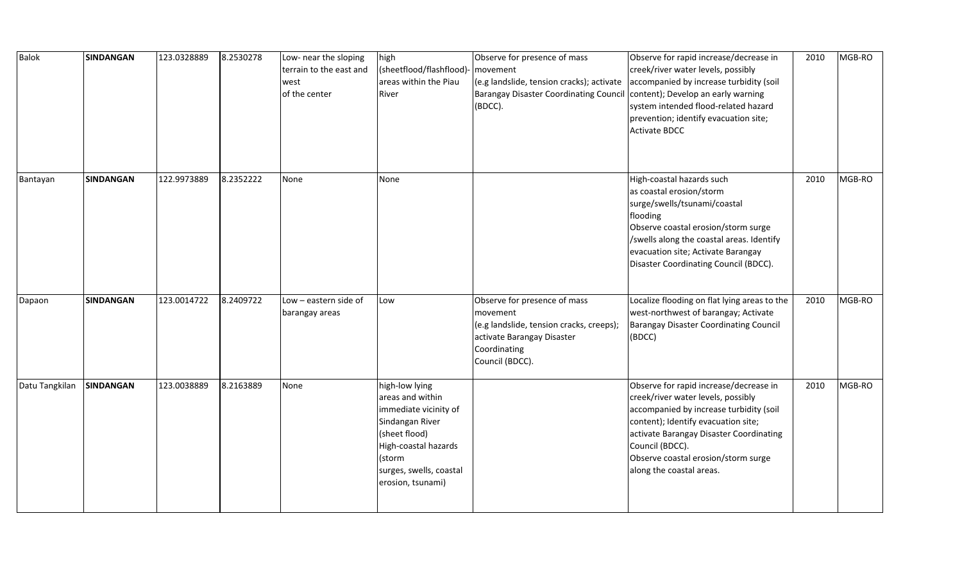| <b>Balok</b>   | <b>SINDANGAN</b> | 123.0328889 | 8.2530278 | Low- near the sloping<br>terrain to the east and<br>west<br>of the center | high<br>(sheetflood/flashflood)-<br>areas within the Piau<br>River                                                                                                                | Observe for presence of mass<br>movement<br>(e.g landslide, tension cracks); activate<br>Barangay Disaster Coordinating Council<br>(BDCC).            | Observe for rapid increase/decrease in<br>creek/river water levels, possibly<br>accompanied by increase turbidity (soil<br>content); Develop an early warning<br>system intended flood-related hazard<br>prevention; identify evacuation site;<br><b>Activate BDCC</b>                          | 2010 | MGB-RO |
|----------------|------------------|-------------|-----------|---------------------------------------------------------------------------|-----------------------------------------------------------------------------------------------------------------------------------------------------------------------------------|-------------------------------------------------------------------------------------------------------------------------------------------------------|-------------------------------------------------------------------------------------------------------------------------------------------------------------------------------------------------------------------------------------------------------------------------------------------------|------|--------|
| Bantayan       | <b>SINDANGAN</b> | 122.9973889 | 8.2352222 | None                                                                      | None                                                                                                                                                                              |                                                                                                                                                       | High-coastal hazards such<br>as coastal erosion/storm<br>surge/swells/tsunami/coastal<br>flooding<br>Observe coastal erosion/storm surge<br>/swells along the coastal areas. Identify<br>evacuation site; Activate Barangay<br>Disaster Coordinating Council (BDCC).                            | 2010 | MGB-RO |
| Dapaon         | <b>SINDANGAN</b> | 123.0014722 | 8.2409722 | Low - eastern side of<br>barangay areas                                   | Low                                                                                                                                                                               | Observe for presence of mass<br>movement<br>(e.g landslide, tension cracks, creeps);<br>activate Barangay Disaster<br>Coordinating<br>Council (BDCC). | Localize flooding on flat lying areas to the<br>west-northwest of barangay; Activate<br><b>Barangay Disaster Coordinating Council</b><br>(BDCC)                                                                                                                                                 | 2010 | MGB-RO |
| Datu Tangkilan | SINDANGAN        | 123.0038889 | 8.2163889 | None                                                                      | high-low lying<br>areas and within<br>immediate vicinity of<br>Sindangan River<br>(sheet flood)<br>High-coastal hazards<br>(storm<br>surges, swells, coastal<br>erosion, tsunami) |                                                                                                                                                       | Observe for rapid increase/decrease in<br>creek/river water levels, possibly<br>accompanied by increase turbidity (soil<br>content); Identify evacuation site;<br>activate Barangay Disaster Coordinating<br>Council (BDCC).<br>Observe coastal erosion/storm surge<br>along the coastal areas. | 2010 | MGB-RO |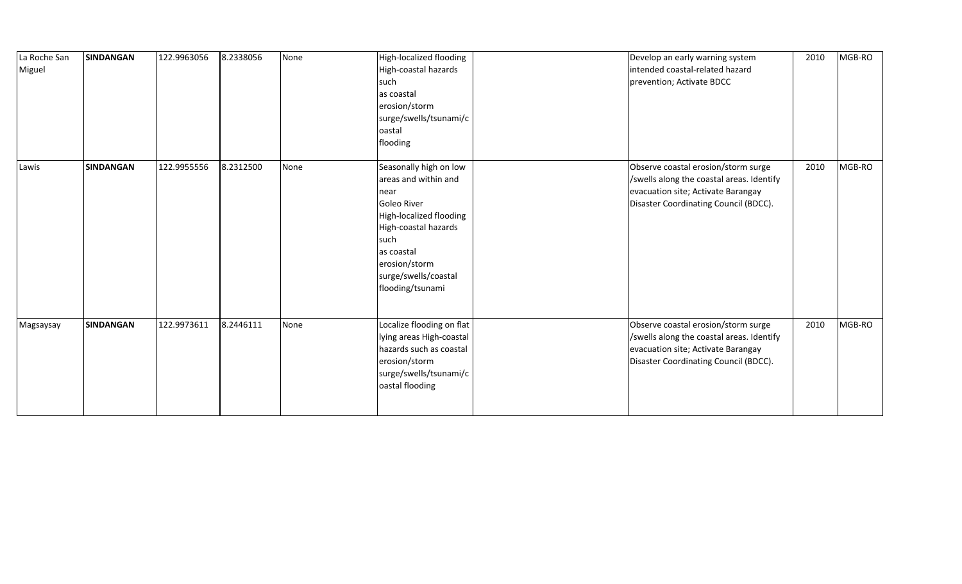| La Roche San<br>Miguel | <b>SINDANGAN</b> | 122.9963056 | 8.2338056 | None | High-localized flooding<br>High-coastal hazards<br>such<br>as coastal<br>erosion/storm<br>surge/swells/tsunami/c<br>oastal<br>flooding                                                                      | Develop an early warning system<br>intended coastal-related hazard<br>prevention; Activate BDCC                                                                 | 2010 | MGB-RO |
|------------------------|------------------|-------------|-----------|------|-------------------------------------------------------------------------------------------------------------------------------------------------------------------------------------------------------------|-----------------------------------------------------------------------------------------------------------------------------------------------------------------|------|--------|
| Lawis                  | <b>SINDANGAN</b> | 122.9955556 | 8.2312500 | None | Seasonally high on low<br>areas and within and<br>near<br>Goleo River<br>High-localized flooding<br>High-coastal hazards<br>such<br>as coastal<br>erosion/storm<br>surge/swells/coastal<br>flooding/tsunami | Observe coastal erosion/storm surge<br>/swells along the coastal areas. Identify<br>evacuation site; Activate Barangay<br>Disaster Coordinating Council (BDCC). | 2010 | MGB-RO |
| Magsaysay              | <b>SINDANGAN</b> | 122.9973611 | 8.2446111 | None | Localize flooding on flat<br>lying areas High-coastal<br>hazards such as coastal<br>erosion/storm<br>surge/swells/tsunami/c<br>oastal flooding                                                              | Observe coastal erosion/storm surge<br>/swells along the coastal areas. Identify<br>evacuation site; Activate Barangay<br>Disaster Coordinating Council (BDCC). | 2010 | MGB-RO |